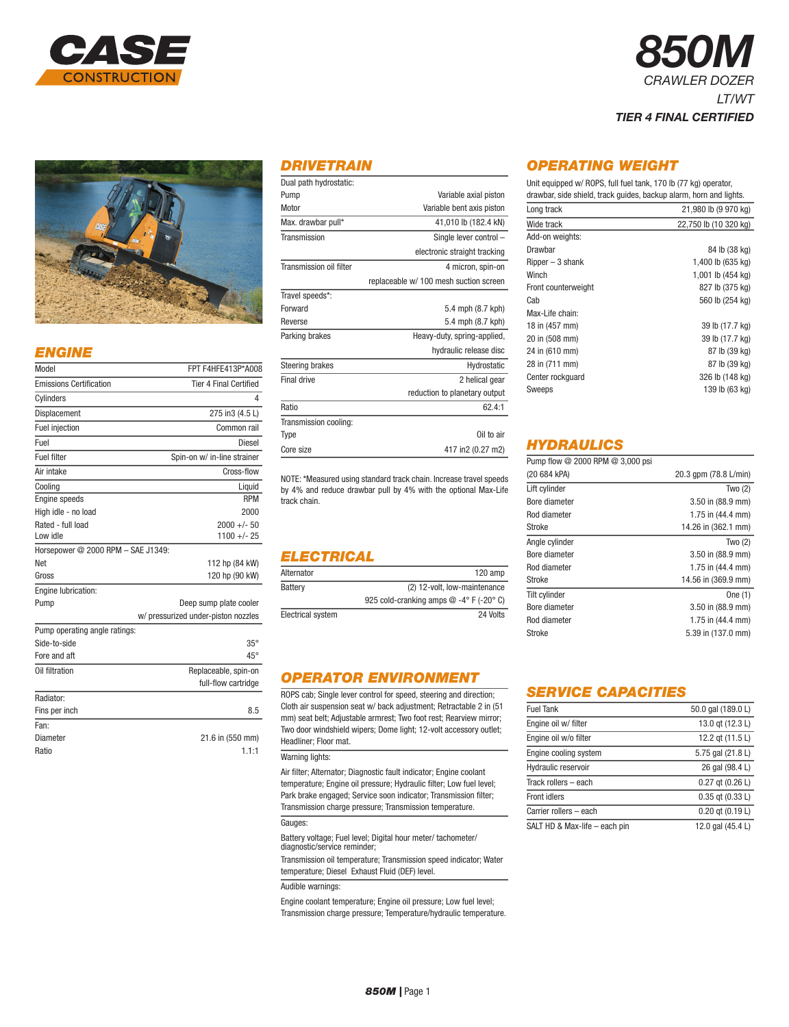



## *ENGINE*

| Model                              | FPT F4HFE413P*A008                  |
|------------------------------------|-------------------------------------|
| <b>Emissions Certification</b>     | <b>Tier 4 Final Certified</b>       |
| Cylinders                          | 4                                   |
| Displacement                       | 275 in3 (4.5 L)                     |
| <b>Fuel injection</b>              | Common rail                         |
| Fuel                               | <b>Diesel</b>                       |
| <b>Fuel filter</b>                 | Spin-on w/ in-line strainer         |
| Air intake                         | Cross-flow                          |
| Cooling                            | Liquid                              |
| Engine speeds                      | <b>RPM</b>                          |
| High idle - no load                | 2000                                |
| Rated - full load                  | $2000 +/- 50$                       |
| Low idle                           | $1100 +/- 25$                       |
| Horsepower @ 2000 RPM - SAE J1349: |                                     |
| Net                                | 112 hp (84 kW)                      |
| Gross                              | 120 hp (90 kW)                      |
| Engine lubrication:                |                                     |
| Pump                               | Deep sump plate cooler              |
|                                    | w/ pressurized under-piston nozzles |
| Pump operating angle ratings:      |                                     |
| Side-to-side                       | $35^\circ$                          |
| Fore and aft                       | $45^{\circ}$                        |
| Oil filtration                     | Replaceable, spin-on                |
|                                    | full-flow cartridge                 |
| Radiator:                          |                                     |
| Fins per inch                      | 8.5                                 |
| Fan <sup>.</sup>                   |                                     |
| Diameter                           | 21.6 in (550 mm)                    |
| Ratio                              | 1.1:1                               |

## *DRIVETRAIN*

| Dual path hydrostatic:  |                                        |
|-------------------------|----------------------------------------|
| Pump                    | Variable axial piston                  |
| Motor                   | Variable bent axis piston              |
| Max. drawbar pull*      | 41,010 lb (182.4 kN)                   |
| Transmission            | Single lever control -                 |
|                         | electronic straight tracking           |
| Transmission oil filter | 4 micron, spin-on                      |
|                         | replaceable w/ 100 mesh suction screen |
| Travel speeds*:         |                                        |
| Forward                 | 5.4 mph (8.7 kph)                      |
| Reverse                 | 5.4 mph (8.7 kph)                      |
| Parking brakes          | Heavy-duty, spring-applied,            |
|                         | hydraulic release disc                 |
| <b>Steering brakes</b>  | Hydrostatic                            |
| Final drive             | 2 helical gear                         |
|                         | reduction to planetary output          |
| Ratio                   | 62.4:1                                 |
| Transmission cooling:   |                                        |
| Type                    | Oil to air                             |
| Core size               | 417 in2 (0.27 m2)                      |
|                         |                                        |

NOTE: \*Measured using standard track chain. Increase travel speeds by 4% and reduce drawbar pull by 4% with the optional Max-Life track chain.

# *ELECTRICAL*

| Alternator        | $120$ amp                                           |
|-------------------|-----------------------------------------------------|
| Battery           | (2) 12-volt, low-maintenance                        |
|                   | 925 cold-cranking amps $@ -4^\circ F (-20^\circ C)$ |
| Electrical system | 24 Volts                                            |

# *OPERATOR ENVIRONMENT*

ROPS cab; Single lever control for speed, steering and direction; Cloth air suspension seat w/ back adjustment; Retractable 2 in (51 mm) seat belt; Adjustable armrest; Two foot rest; Rearview mirror; Two door windshield wipers; Dome light; 12-volt accessory outlet; Headliner; Floor mat.

### Warning lights:

Air filter; Alternator; Diagnostic fault indicator; Engine coolant temperature; Engine oil pressure; Hydraulic filter; Low fuel level; Park brake engaged; Service soon indicator; Transmission filter; Transmission charge pressure; Transmission temperature.

Gauges:

Battery voltage; Fuel level; Digital hour meter/ tachometer/ diagnostic/service reminder;

Transmission oil temperature; Transmission speed indicator; Water temperature; Diesel Exhaust Fluid (DEF) level.

Audible warnings:

Engine coolant temperature; Engine oil pressure; Low fuel level; Transmission charge pressure; Temperature/hydraulic temperature.

# *OPERATING WEIGHT*

Unit equipped w/ ROPS, full fuel tank, 170 lb (77 kg) operator, drawbar, side shield, track guides, backup alarm, horn and lights.

*850M*

*CRAWLER DOZER*

*TIER 4 FINAL CERTIFIED*

*LT/WT*

| Long track          | 21,980 lb (9 970 kg)  |
|---------------------|-----------------------|
| Wide track          | 22,750 lb (10 320 kg) |
| Add-on weights:     |                       |
| Drawbar             | 84 lb (38 kg)         |
| $Ripper-3 shank$    | 1,400 lb (635 kg)     |
| Winch               | 1,001 lb (454 kg)     |
| Front counterweight | 827 lb (375 kg)       |
| Cab                 | 560 lb (254 kg)       |
| Max-Life chain:     |                       |
| 18 in (457 mm)      | 39 lb (17.7 kg)       |
| 20 in (508 mm)      | 39 lb (17.7 kg)       |
| 24 in (610 mm)      | 87 lb (39 kg)         |
| 28 in (711 mm)      | 87 lb (39 kg)         |
| Center rockguard    | 326 lb (148 kg)       |
| Sweeps              | 139 lb (63 kg)        |

# *HYDRAULICS*

| Pump flow @ 2000 RPM @ 3,000 psi |                             |
|----------------------------------|-----------------------------|
| (20 684 kPA)                     | 20.3 gpm (78.8 L/min)       |
| Lift cylinder                    | Two $(2)$                   |
| Bore diameter                    | 3.50 in (88.9 mm)           |
| Rod diameter                     | 1.75 in $(44.4 \text{ mm})$ |
| Stroke                           | 14.26 in (362.1 mm)         |
| Angle cylinder                   | Two $(2)$                   |
| Bore diameter                    | 3.50 in (88.9 mm)           |
| Rod diameter                     | 1.75 in $(44.4 \text{ mm})$ |
| Stroke                           | 14.56 in (369.9 mm)         |
| Tilt cylinder                    | One (1)                     |
| Bore diameter                    | $3.50$ in $(88.9$ mm)       |
| Rod diameter                     | 1.75 in $(44.4 \text{ mm})$ |
| Stroke                           | 5.39 in (137.0 mm)          |

## *SERVICE CAPACITIES*

| <b>Fuel Tank</b>              | 50.0 gal (189.0 L)   |
|-------------------------------|----------------------|
| Engine oil w/ filter          | 13.0 gt (12.3 L)     |
| Engine oil w/o filter         | 12.2 gt (11.5 L)     |
| Engine cooling system         | 5.75 gal (21.8 L)    |
| Hydraulic reservoir           | 26 gal (98.4 L)      |
| Track rollers - each          | $0.27$ qt $(0.26 L)$ |
| <b>Front idlers</b>           | $0.35$ qt $(0.33 L)$ |
| Carrier rollers - each        | $0.20$ qt $(0.19 L)$ |
| SALT HD & Max-life – each pin | 12.0 gal (45.4 L)    |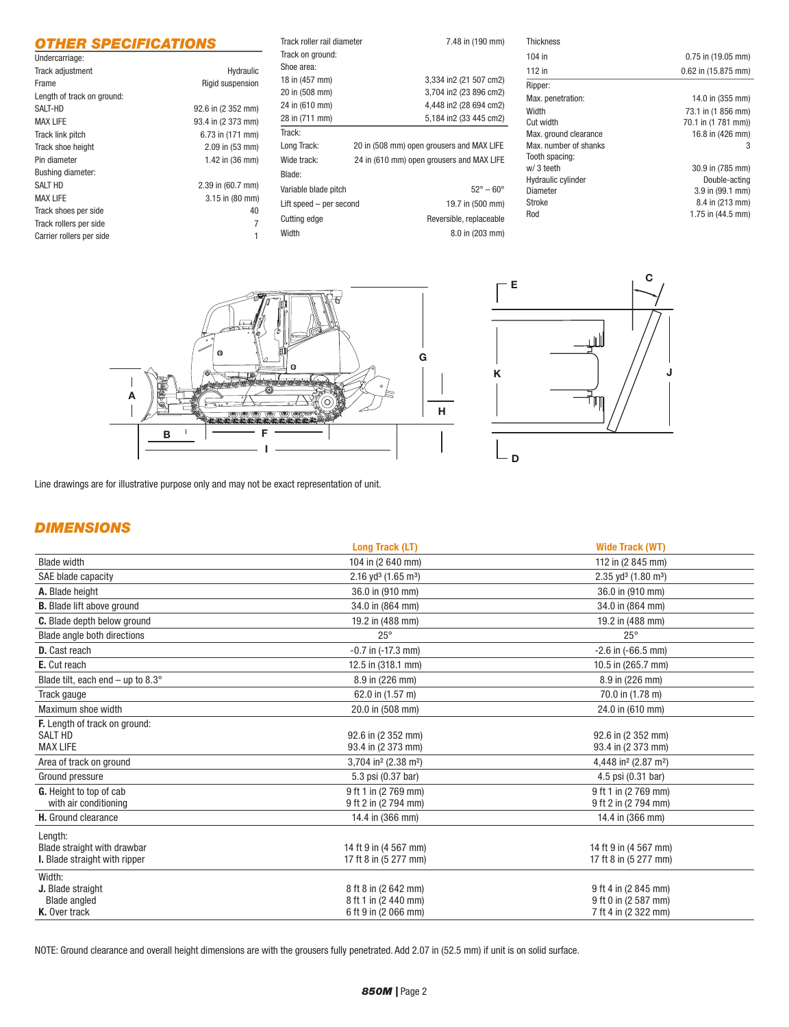# *OTHER SPECIFICATIONS*

| Undercarriage:             |                     |
|----------------------------|---------------------|
| Track adjustment           | Hydraulic           |
| Frame                      | Rigid suspension    |
| Length of track on ground: |                     |
| SALT-HD                    | 92.6 in (2 352 mm)  |
| <b>MAX LIFE</b>            | 93.4 in (2 373 mm)  |
| Track link pitch           | 6.73 in (171 mm)    |
| Track shoe height          | $2.09$ in $(53$ mm) |
| Pin diameter               | 1.42 in (36 mm)     |
| <b>Bushing diameter:</b>   |                     |
| <b>SALT HD</b>             | 2.39 in (60.7 mm)   |
| <b>MAX LIFE</b>            | 3.15 in (80 mm)     |
| Track shoes per side       | 40                  |
| Track rollers per side     | 7                   |
| Carrier rollers per side   | 1                   |

| Track roller rail diameter                               | 7.48 in (190 mm)                          |
|----------------------------------------------------------|-------------------------------------------|
| Track on ground:                                         |                                           |
| Shoe area:                                               |                                           |
| 18 in (457 mm)                                           | 3,334 in2 (21 507 cm2)                    |
| 20 in (508 mm)                                           | 3,704 in2 (23 896 cm2)                    |
| 24 in (610 mm)                                           | 4,448 in2 (28 694 cm2)                    |
| 28 in (711 mm)                                           | 5,184 in2 (33 445 cm2)                    |
| Track:                                                   |                                           |
| Long Track:                                              | 20 in (508 mm) open grousers and MAX LIFE |
| 24 in (610 mm) open grousers and MAX LIFE<br>Wide track: |                                           |
| Blade:                                                   |                                           |
| Variable blade pitch                                     | $52^{\circ} - 60^{\circ}$                 |
| Lift speed - per second                                  | 19.7 in (500 mm)                          |
|                                                          |                                           |
| Cutting edge                                             | Reversible, replaceable                   |

| <b>Thickness</b>      |                         |
|-----------------------|-------------------------|
| 104 in                | $0.75$ in $(19.05$ mm)  |
| 112 in                | $0.62$ in $(15.875$ mm) |
| Ripper:               |                         |
| Max. penetration:     | 14.0 in (355 mm)        |
| Width                 | 73.1 in (1 856 mm)      |
| Cut width             | 70.1 in (1 781 mm))     |
| Max. ground clearance | 16.8 in (426 mm)        |
| Max, number of shanks | 3                       |
| Tooth spacing:        |                         |
| w/ 3 teeth            | 30.9 in (785 mm)        |
| Hydraulic cylinder    | Double-acting           |
| Diameter              | 3.9 in (99.1 mm)        |
| Stroke                | 8.4 in (213 mm)         |
| Rod                   | 1.75 in $(44.5$ mm)     |





Line drawings are for illustrative purpose only and may not be exact representation of unit.

# *DIMENSIONS*

|                                             | <b>Long Track (LT)</b>                       | <b>Wide Track (WT)</b>                       |
|---------------------------------------------|----------------------------------------------|----------------------------------------------|
| <b>Blade width</b>                          | 104 in (2 640 mm)                            | 112 in (2 845 mm)                            |
| SAE blade capacity                          | 2.16 yd <sup>3</sup> (1.65 m <sup>3</sup> )  | 2.35 yd <sup>3</sup> (1.80 m <sup>3</sup> )  |
| A. Blade height                             | 36.0 in (910 mm)                             | 36.0 in (910 mm)                             |
| <b>B.</b> Blade lift above ground           | 34.0 in (864 mm)                             | 34.0 in (864 mm)                             |
| C. Blade depth below ground                 | 19.2 in (488 mm)                             | 19.2 in (488 mm)                             |
| Blade angle both directions                 | $25^{\circ}$                                 | $25^{\circ}$                                 |
| <b>D.</b> Cast reach                        | $-0.7$ in $(-17.3$ mm)                       | $-2.6$ in $(-66.5$ mm)                       |
| E. Cut reach                                | 12.5 in (318.1 mm)                           | 10.5 in (265.7 mm)                           |
| Blade tilt, each end – up to 8.3 $^{\circ}$ | 8.9 in (226 mm)                              | 8.9 in (226 mm)                              |
| Track gauge                                 | 62.0 in (1.57 m)                             | 70.0 in (1.78 m)                             |
| Maximum shoe width                          | 20.0 in (508 mm)                             | 24.0 in (610 mm)                             |
| F. Length of track on ground:               |                                              |                                              |
| <b>SALT HD</b>                              | 92.6 in (2 352 mm)                           | 92.6 in (2 352 mm)                           |
| <b>MAX LIFE</b>                             | 93.4 in (2 373 mm)                           | 93.4 in (2 373 mm)                           |
| Area of track on ground                     | 3,704 in <sup>2</sup> (2.38 m <sup>2</sup> ) | 4,448 in <sup>2</sup> (2.87 m <sup>2</sup> ) |
| Ground pressure                             | 5.3 psi (0.37 bar)                           | 4.5 psi (0.31 bar)                           |
| G. Height to top of cab                     | 9 ft 1 in (2 769 mm)                         | 9 ft 1 in (2 769 mm)                         |
| with air conditioning                       | 9 ft 2 in (2 794 mm)                         | 9 ft 2 in (2 794 mm)                         |
| H. Ground clearance                         | 14.4 in (366 mm)                             | 14.4 in (366 mm)                             |
| Length:                                     |                                              |                                              |
| Blade straight with drawbar                 | 14 ft 9 in (4 567 mm)                        | 14 ft 9 in (4 567 mm)                        |
| <b>I.</b> Blade straight with ripper        | 17 ft 8 in (5 277 mm)                        | 17 ft 8 in (5 277 mm)                        |
| Width:                                      |                                              |                                              |
| J. Blade straight                           | 8 ft 8 in (2 642 mm)                         | 9 ft 4 in (2 845 mm)                         |
| <b>Blade angled</b>                         | 8 ft 1 in (2 440 mm)                         | 9 ft 0 in (2 587 mm)                         |
| K. Over track                               | 6 ft 9 in (2 066 mm)                         | 7 ft 4 in (2 322 mm)                         |

NOTE: Ground clearance and overall height dimensions are with the grousers fully penetrated. Add 2.07 in (52.5 mm) if unit is on solid surface.